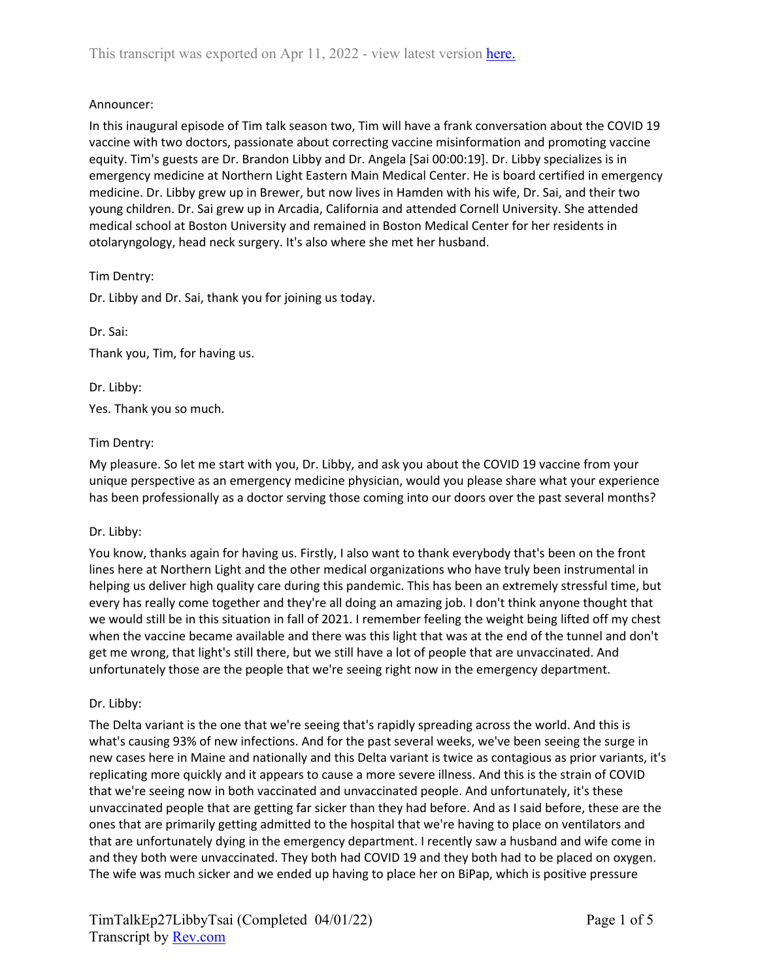### Announcer:

In this inaugural episode of Tim talk season two, Tim will have a frank conversation about the COVID 19 vaccine with two doctors, passionate about correcting vaccine misinformation and promoting vaccine equity. Tim's guests are Dr. Brandon Libby and Dr. Angela [Sai 00:00:19]. Dr. Libby specializes is in emergency medicine at Northern Light Eastern Main Medical Center. He is board certified in emergency medicine. Dr. Libby grew up in Brewer, but now lives in Hamden with his wife, Dr. Sai, and their two young children. Dr. Sai grew up in Arcadia, California and attended Cornell University. She attended medical school at Boston University and remained in Boston Medical Center for her residents in otolaryngology, head neck surgery. It's also where she met her husband.

Tim Dentry:

Dr. Libby and Dr. Sai, thank you for joining us today.

Dr. Sai: Thank you, Tim, for having us.

Dr. Libby: Yes. Thank you so much.

### Tim Dentry:

My pleasure. So let me start with you, Dr. Libby, and ask you about the COVID 19 vaccine from your unique perspective as an emergency medicine physician, would you please share what your experience has been professionally as a doctor serving those coming into our doors over the past several months?

#### Dr. Libby:

You know, thanks again for having us. Firstly, I also want to thank everybody that's been on the front lines here at Northern Light and the other medical organizations who have truly been instrumental in helping us deliver high quality care during this pandemic. This has been an extremely stressful time, but every has really come together and they're all doing an amazing job. I don't think anyone thought that we would still be in this situation in fall of 2021. I remember feeling the weight being lifted off my chest when the vaccine became available and there was this light that was at the end of the tunnel and don't get me wrong, that light's still there, but we still have a lot of people that are unvaccinated. And unfortunately those are the people that we're seeing right now in the emergency department.

#### Dr. Libby:

The Delta variant is the one that we're seeing that's rapidly spreading across the world. And this is what's causing 93% of new infections. And for the past several weeks, we've been seeing the surge in new cases here in Maine and nationally and this Delta variant is twice as contagious as prior variants, it's replicating more quickly and it appears to cause a more severe illness. And this is the strain of COVID that we're seeing now in both vaccinated and unvaccinated people. And unfortunately, it's these unvaccinated people that are getting far sicker than they had before. And as I said before, these are the ones that are primarily getting admitted to the hospital that we're having to place on ventilators and that are unfortunately dying in the emergency department. I recently saw a husband and wife come in and they both were unvaccinated. They both had COVID 19 and they both had to be placed on oxygen. The wife was much sicker and we ended up having to place her on BiPap, which is positive pressure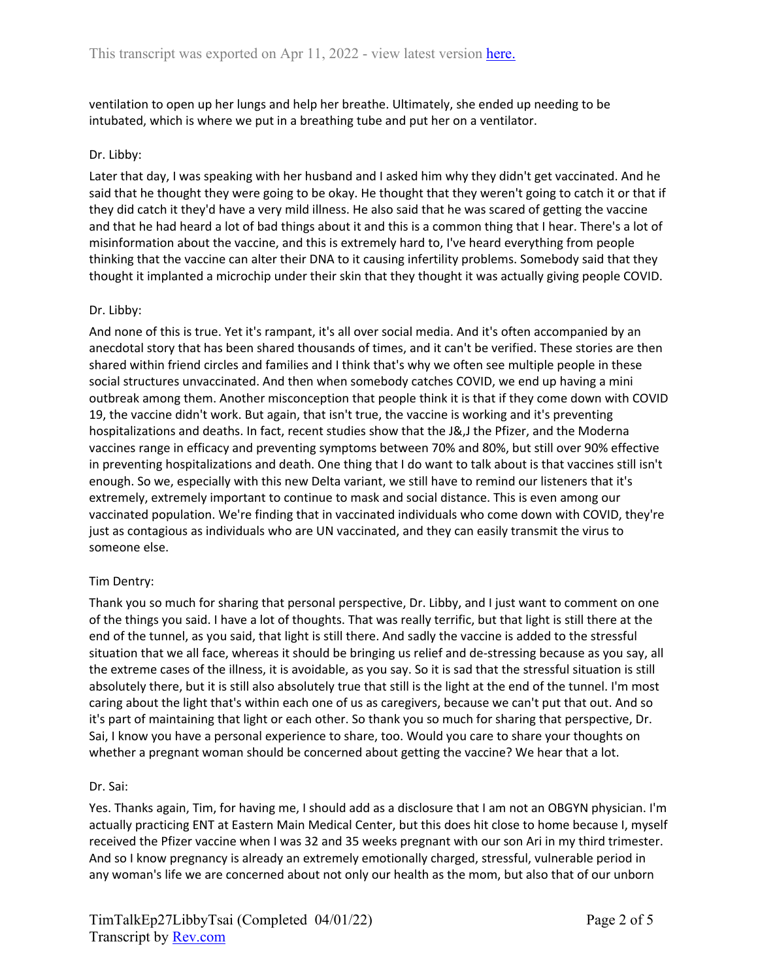ventilation to open up her lungs and help her breathe. Ultimately, she ended up needing to be intubated, which is where we put in a breathing tube and put her on a ventilator.

### Dr. Libby:

Later that day, I was speaking with her husband and I asked him why they didn't get vaccinated. And he said that he thought they were going to be okay. He thought that they weren't going to catch it or that if they did catch it they'd have a very mild illness. He also said that he was scared of getting the vaccine and that he had heard a lot of bad things about it and this is a common thing that I hear. There's a lot of misinformation about the vaccine, and this is extremely hard to, I've heard everything from people thinking that the vaccine can alter their DNA to it causing infertility problems. Somebody said that they thought it implanted a microchip under their skin that they thought it was actually giving people COVID.

### Dr. Libby:

And none of this is true. Yet it's rampant, it's all over social media. And it's often accompanied by an anecdotal story that has been shared thousands of times, and it can't be verified. These stories are then shared within friend circles and families and I think that's why we often see multiple people in these social structures unvaccinated. And then when somebody catches COVID, we end up having a mini outbreak among them. Another misconception that people think it is that if they come down with COVID 19, the vaccine didn't work. But again, that isn't true, the vaccine is working and it's preventing hospitalizations and deaths. In fact, recent studies show that the J&,J the Pfizer, and the Moderna vaccines range in efficacy and preventing symptoms between 70% and 80%, but still over 90% effective in preventing hospitalizations and death. One thing that I do want to talk about is that vaccines still isn't enough. So we, especially with this new Delta variant, we still have to remind our listeners that it's extremely, extremely important to continue to mask and social distance. This is even among our vaccinated population. We're finding that in vaccinated individuals who come down with COVID, they're just as contagious as individuals who are UN vaccinated, and they can easily transmit the virus to someone else.

## Tim Dentry:

Thank you so much for sharing that personal perspective, Dr. Libby, and I just want to comment on one of the things you said. I have a lot of thoughts. That was really terrific, but that light is still there at the end of the tunnel, as you said, that light is still there. And sadly the vaccine is added to the stressful situation that we all face, whereas it should be bringing us relief and de-stressing because as you say, all the extreme cases of the illness, it is avoidable, as you say. So it is sad that the stressful situation is still absolutely there, but it is still also absolutely true that still is the light at the end of the tunnel. I'm most caring about the light that's within each one of us as caregivers, because we can't put that out. And so it's part of maintaining that light or each other. So thank you so much for sharing that perspective, Dr. Sai, I know you have a personal experience to share, too. Would you care to share your thoughts on whether a pregnant woman should be concerned about getting the vaccine? We hear that a lot.

#### Dr. Sai:

Yes. Thanks again, Tim, for having me, I should add as a disclosure that I am not an OBGYN physician. I'm actually practicing ENT at Eastern Main Medical Center, but this does hit close to home because I, myself received the Pfizer vaccine when I was 32 and 35 weeks pregnant with our son Ari in my third trimester. And so I know pregnancy is already an extremely emotionally charged, stressful, vulnerable period in any woman's life we are concerned about not only our health as the mom, but also that of our unborn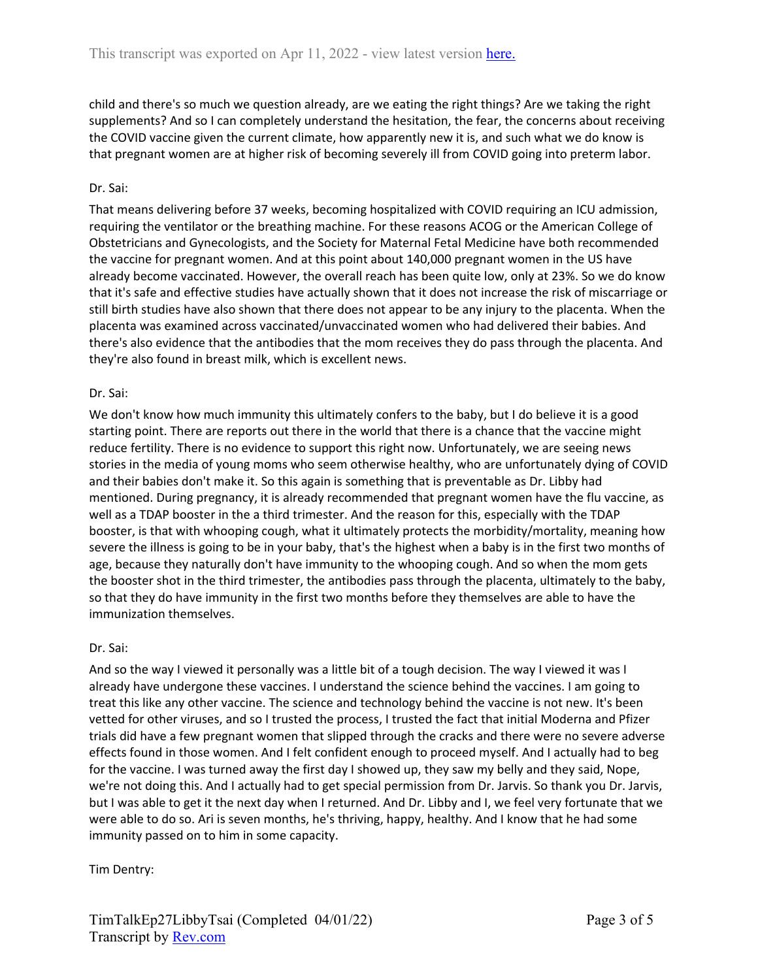child and there's so much we question already, are we eating the right things? Are we taking the right supplements? And so I can completely understand the hesitation, the fear, the concerns about receiving the COVID vaccine given the current climate, how apparently new it is, and such what we do know is that pregnant women are at higher risk of becoming severely ill from COVID going into preterm labor.

### Dr. Sai:

That means delivering before 37 weeks, becoming hospitalized with COVID requiring an ICU admission, requiring the ventilator or the breathing machine. For these reasons ACOG or the American College of Obstetricians and Gynecologists, and the Society for Maternal Fetal Medicine have both recommended the vaccine for pregnant women. And at this point about 140,000 pregnant women in the US have already become vaccinated. However, the overall reach has been quite low, only at 23%. So we do know that it's safe and effective studies have actually shown that it does not increase the risk of miscarriage or still birth studies have also shown that there does not appear to be any injury to the placenta. When the placenta was examined across vaccinated/unvaccinated women who had delivered their babies. And there's also evidence that the antibodies that the mom receives they do pass through the placenta. And they're also found in breast milk, which is excellent news.

### Dr. Sai:

We don't know how much immunity this ultimately confers to the baby, but I do believe it is a good starting point. There are reports out there in the world that there is a chance that the vaccine might reduce fertility. There is no evidence to support this right now. Unfortunately, we are seeing news stories in the media of young moms who seem otherwise healthy, who are unfortunately dying of COVID and their babies don't make it. So this again is something that is preventable as Dr. Libby had mentioned. During pregnancy, it is already recommended that pregnant women have the flu vaccine, as well as a TDAP booster in the a third trimester. And the reason for this, especially with the TDAP booster, is that with whooping cough, what it ultimately protects the morbidity/mortality, meaning how severe the illness is going to be in your baby, that's the highest when a baby is in the first two months of age, because they naturally don't have immunity to the whooping cough. And so when the mom gets the booster shot in the third trimester, the antibodies pass through the placenta, ultimately to the baby, so that they do have immunity in the first two months before they themselves are able to have the immunization themselves.

#### Dr. Sai:

And so the way I viewed it personally was a little bit of a tough decision. The way I viewed it was I already have undergone these vaccines. I understand the science behind the vaccines. I am going to treat this like any other vaccine. The science and technology behind the vaccine is not new. It's been vetted for other viruses, and so I trusted the process, I trusted the fact that initial Moderna and Pfizer trials did have a few pregnant women that slipped through the cracks and there were no severe adverse effects found in those women. And I felt confident enough to proceed myself. And I actually had to beg for the vaccine. I was turned away the first day I showed up, they saw my belly and they said, Nope, we're not doing this. And I actually had to get special permission from Dr. Jarvis. So thank you Dr. Jarvis, but I was able to get it the next day when I returned. And Dr. Libby and I, we feel very fortunate that we were able to do so. Ari is seven months, he's thriving, happy, healthy. And I know that he had some immunity passed on to him in some capacity.

## Tim Dentry: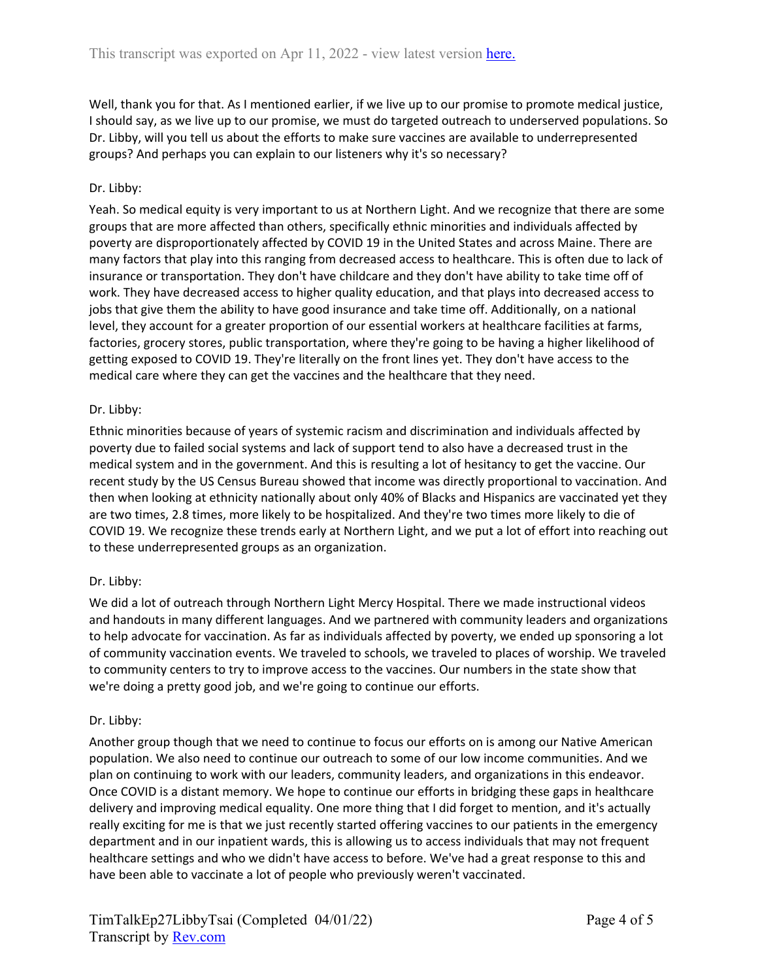Well, thank you for that. As I mentioned earlier, if we live up to our promise to promote medical justice, I should say, as we live up to our promise, we must do targeted outreach to underserved populations. So Dr. Libby, will you tell us about the efforts to make sure vaccines are available to underrepresented groups? And perhaps you can explain to our listeners why it's so necessary?

## Dr. Libby:

Yeah. So medical equity is very important to us at Northern Light. And we recognize that there are some groups that are more affected than others, specifically ethnic minorities and individuals affected by poverty are disproportionately affected by COVID 19 in the United States and across Maine. There are many factors that play into this ranging from decreased access to healthcare. This is often due to lack of insurance or transportation. They don't have childcare and they don't have ability to take time off of work. They have decreased access to higher quality education, and that plays into decreased access to jobs that give them the ability to have good insurance and take time off. Additionally, on a national level, they account for a greater proportion of our essential workers at healthcare facilities at farms, factories, grocery stores, public transportation, where they're going to be having a higher likelihood of getting exposed to COVID 19. They're literally on the front lines yet. They don't have access to the medical care where they can get the vaccines and the healthcare that they need.

#### Dr. Libby:

Ethnic minorities because of years of systemic racism and discrimination and individuals affected by poverty due to failed social systems and lack of support tend to also have a decreased trust in the medical system and in the government. And this is resulting a lot of hesitancy to get the vaccine. Our recent study by the US Census Bureau showed that income was directly proportional to vaccination. And then when looking at ethnicity nationally about only 40% of Blacks and Hispanics are vaccinated yet they are two times, 2.8 times, more likely to be hospitalized. And they're two times more likely to die of COVID 19. We recognize these trends early at Northern Light, and we put a lot of effort into reaching out to these underrepresented groups as an organization.

## Dr. Libby:

We did a lot of outreach through Northern Light Mercy Hospital. There we made instructional videos and handouts in many different languages. And we partnered with community leaders and organizations to help advocate for vaccination. As far as individuals affected by poverty, we ended up sponsoring a lot of community vaccination events. We traveled to schools, we traveled to places of worship. We traveled to community centers to try to improve access to the vaccines. Our numbers in the state show that we're doing a pretty good job, and we're going to continue our efforts.

#### Dr. Libby:

Another group though that we need to continue to focus our efforts on is among our Native American population. We also need to continue our outreach to some of our low income communities. And we plan on continuing to work with our leaders, community leaders, and organizations in this endeavor. Once COVID is a distant memory. We hope to continue our efforts in bridging these gaps in healthcare delivery and improving medical equality. One more thing that I did forget to mention, and it's actually really exciting for me is that we just recently started offering vaccines to our patients in the emergency department and in our inpatient wards, this is allowing us to access individuals that may not frequent healthcare settings and who we didn't have access to before. We've had a great response to this and have been able to vaccinate a lot of people who previously weren't vaccinated.